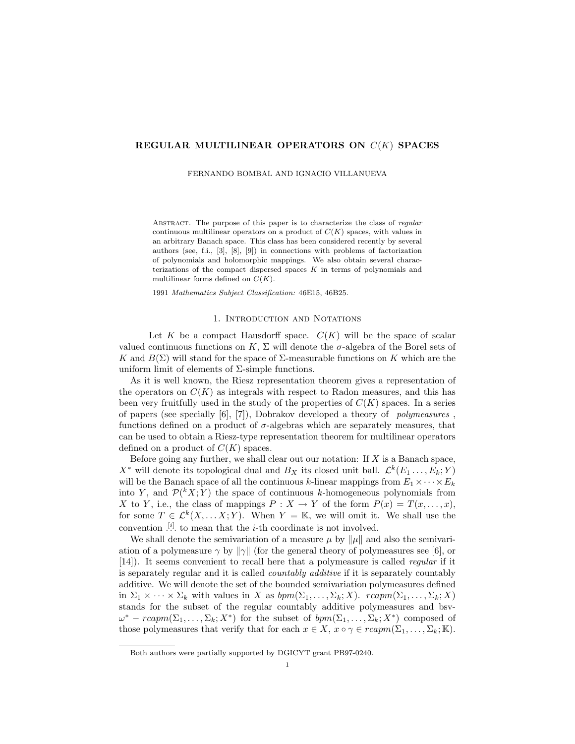## REGULAR MULTILINEAR OPERATORS ON  $C(K)$  SPACES

FERNANDO BOMBAL AND IGNACIO VILLANUEVA

ABSTRACT. The purpose of this paper is to characterize the class of regular continuous multilinear operators on a product of  $C(K)$  spaces, with values in an arbitrary Banach space. This class has been considered recently by several authors (see, f.i., [3], [8], [9]) in connections with problems of factorization of polynomials and holomorphic mappings. We also obtain several characterizations of the compact dispersed spaces  $K$  in terms of polynomials and multilinear forms defined on  $C(K)$ .

1991 Mathematics Subject Classification: 46E15, 46B25.

### 1. INTRODUCTION AND NOTATIONS

Let K be a compact Hausdorff space.  $C(K)$  will be the space of scalar valued continuous functions on K,  $\Sigma$  will denote the  $\sigma$ -algebra of the Borel sets of K and  $B(\Sigma)$  will stand for the space of  $\Sigma$ -measurable functions on K which are the uniform limit of elements of  $\Sigma$ -simple functions.

As it is well known, the Riesz representation theorem gives a representation of the operators on  $C(K)$  as integrals with respect to Radon measures, and this has been very fruitfully used in the study of the properties of  $C(K)$  spaces. In a series of papers (see specially  $[6]$ ,  $[7]$ ), Dobrakov developed a theory of *polymeasures*, functions defined on a product of  $\sigma$ -algebras which are separately measures, that can be used to obtain a Riesz-type representation theorem for multilinear operators defined on a product of  $C(K)$  spaces.

Before going any further, we shall clear out our notation: If  $X$  is a Banach space,  $X^*$  will denote its topological dual and  $B_X$  its closed unit ball.  $\mathcal{L}^k(E_1 \ldots, E_k; Y)$ will be the Banach space of all the continuous k-linear mappings from  $E_1 \times \cdots \times E_k$ into Y, and  $\mathcal{P}(^k X; Y)$  the space of continuous k-homogeneous polynomials from X to Y, i.e., the class of mappings  $P: X \to Y$  of the form  $P(x) = T(x, \ldots, x)$ , for some  $T \in \mathcal{L}^k(X, \ldots, X; Y)$ . When  $Y = \mathbb{K}$ , we will omit it. We shall use the convention  $\cdot$ <sup>[i]</sup>. to mean that the *i*-th coordinate is not involved.

We shall denote the semivariation of a measure  $\mu$  by  $\|\mu\|$  and also the semivariation of a polymeasure  $\gamma$  by  $\|\gamma\|$  (for the general theory of polymeasures see [6], or [14]). It seems convenient to recall here that a polymeasure is called regular if it is separately regular and it is called countably additive if it is separately countably additive. We will denote the set of the bounded semivariation polymeasures defined in  $\Sigma_1 \times \cdots \times \Sigma_k$  with values in X as  $bpm(\Sigma_1,\ldots,\Sigma_k;X)$ .  $rcap(\Sigma_1,\ldots,\Sigma_k;X)$ stands for the subset of the regular countably additive polymeasures and bsv- $\omega^* - r \mathit{camm}(\Sigma_1, \ldots, \Sigma_k; X^*)$  for the subset of  $\mathit{bpm}(\Sigma_1, \ldots, \Sigma_k; X^*)$  composed of those polymeasures that verify that for each  $x \in X$ ,  $x \circ \gamma \in r\alpha pm(\Sigma_1, \ldots, \Sigma_k; \mathbb{K})$ .

Both authors were partially supported by DGICYT grant PB97-0240.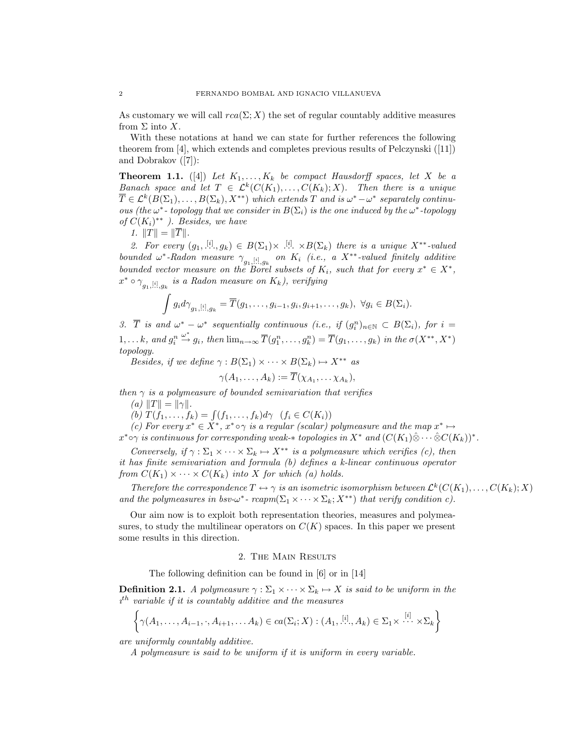As customary we will call  $rca(\Sigma; X)$  the set of regular countably additive measures from  $\Sigma$  into X.

With these notations at hand we can state for further references the following theorem from [4], which extends and completes previous results of Pelczynski ([11]) and Dobrakov ([7]):

**Theorem 1.1.** ([4]) Let  $K_1, \ldots, K_k$  be compact Hausdorff spaces, let X be a Banach space and let  $T \in \mathcal{L}^k(C(K_1), \ldots, C(K_k); X)$ . Then there is a unique  $\overline{T} \in \mathcal{L}^k(B(\Sigma_1), \ldots, B(\Sigma_k), X^{**})$  which extends  $T$  and is  $\omega^* - \omega^*$  separately continuous (the  $\omega^*$ -topology that we consider in  $B(\Sigma_i)$  is the one induced by the  $\omega^*$ -topology of  $C(K_i)^{**}$  ). Besides, we have

1.  $||T|| = ||\overline{T}||$ .

2. For every  $(g_1, \ldots, g_k) \in B(\Sigma_1) \times \ldots \times B(\Sigma_k)$  there is a unique  $X^{**}$ -valued bounded  $\omega^*$ -Radon measure  $\gamma_{g_1, [i], g_k}$  on  $K_i$  (i.e., a X<sup>\*\*</sup>-valued finitely additive bounded vector measure on the Borel subsets of  $K_i$ , such that for every  $x^* \in X^*$ ,  $x^* \circ \gamma_{g_1, \ldots, g_k}$  is a Radon measure on  $K_k$ ), verifying  $\mu$ 

$$
\int g_i d\gamma_{g_1,[i],g_k} = \overline{T}(g_1,\ldots,g_{i-1},g_i,g_{i+1},\ldots,g_k), \ \forall g_i \in B(\Sigma_i).
$$

3.  $\overline{T}$  is and  $\omega^* - \omega^*$  sequentially continuous (i.e., if  $(g_i^n)_{n \in \mathbb{N}} \subset B(\Sigma_i)$ , for  $i =$  $1, \ldots k, \text{ and } g_i^n$  $\stackrel{\omega^*}{\to} g_i$ , then  $\lim_{n\to\infty} \overline{T}(g_1^n,\ldots,g_k^n) = \overline{T}(g_1,\ldots,g_k)$  in the  $\sigma(X^{**},X^*)$ topology.

Besides, if we define  $\gamma : B(\Sigma_1) \times \cdots \times B(\Sigma_k) \mapsto X^{**}$  as

$$
\gamma(A_1,\ldots,A_k):=\overline{T}(\chi_{A_1},\ldots,\chi_{A_k}),
$$

then  $\gamma$  is a polymeasure of bounded semivariation that verifies

(a)  $||T|| = ||\gamma||$ .

(a)  $||I|| = ||\gamma||$ .<br>(b)  $T(f_1, \ldots, f_k) = \int (f_1, \ldots, f_k)d\gamma$   $(f_i \in C(K_i))$ 

(c) For every  $x^* \in X^*$ ,  $x^* \circ \gamma$  is a regular (scalar) polymeasure and the map  $x^* \mapsto$  $x^* \circ \gamma$  is continuous for corresponding weak- $*$  topologies in  $X^*$  and  $(C(K_1) \hat{\otimes} \cdots \hat{\otimes} C(K_k))^*$ .

Conversely, if  $\gamma : \Sigma_1 \times \cdots \times \Sigma_k \mapsto X^{**}$  is a polymeasure which verifies (c), then it has finite semivariation and formula (b) defines a k-linear continuous operator from  $C(K_1) \times \cdots \times C(K_k)$  into X for which (a) holds.

Therefore the correspondence  $T \leftrightarrow \gamma$  is an isometric isomorphism between  $\mathcal{L}^k(C(K_1), \ldots, C(K_k); X)$ and the polymeasures in bsv- $\omega^*$ - rcapm( $\Sigma_1 \times \cdots \times \Sigma_k$ ;  $X^{**}$ ) that verify condition c).

Our aim now is to exploit both representation theories, measures and polymeasures, to study the multilinear operators on  $C(K)$  spaces. In this paper we present some results in this direction.

# 2. The Main Results

The following definition can be found in [6] or in [14]

**Definition 2.1.** A polymeasure  $\gamma : \Sigma_1 \times \cdots \times \Sigma_k \mapsto X$  is said to be uniform in the  $i<sup>th</sup>$  variable if it is countably additive and the measures

$$
\left\{\gamma(A_1,\ldots,A_{i-1},\cdot,A_{i+1},\ldots A_k)\in ca(\Sigma_i;X):(A_1,\stackrel{[i]}{\ldots},A_k)\in\Sigma_1\times\stackrel{[i]}{\ldots}\times\Sigma_k\right\}
$$

are uniformly countably additive.

A polymeasure is said to be uniform if it is uniform in every variable.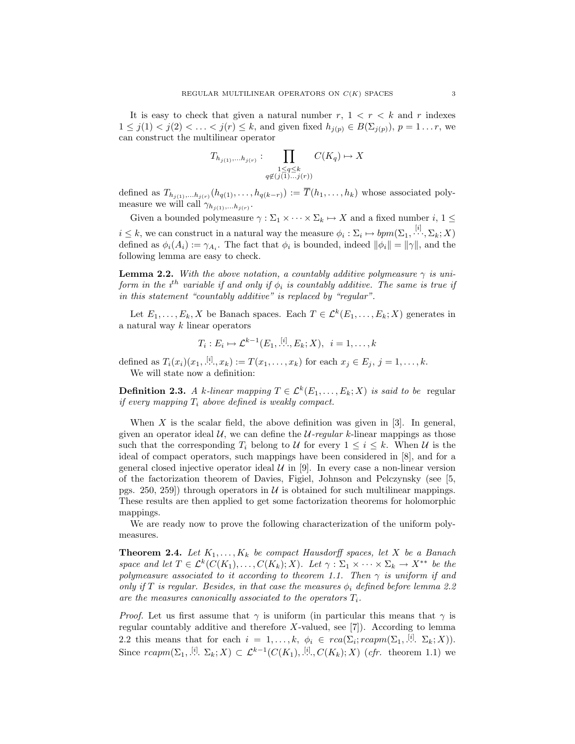It is easy to check that given a natural number  $r, 1 < r < k$  and r indexes  $1 \leq j(1) < j(2) < \ldots < j(r) \leq k$ , and given fixed  $h_{j(p)} \in B(\Sigma_{j(p)})$ ,  $p = 1 \ldots r$ , we can construct the multilinear operator

$$
T_{h_{j(1)},\ldots,h_{j(r)}} : \prod_{\substack{1 \leq q \leq k \\ q \notin (j(1)\ldots j(r))}} C(K_q) \mapsto X
$$

defined as  $T_{h_{j(1)},...,h_{j(r)}}(h_{q(1)},...,h_{q(k-r)}) := \overline{T}(h_1,...,h_k)$  whose associated polymeasure we will call  $\gamma_{h_{j(1)},...,h_{j(r)}}$ .

Given a bounded polymeasure  $\gamma : \Sigma_1 \times \cdots \times \Sigma_k \mapsto X$  and a fixed number  $i, 1 \leq$  $i \leq k$ , we can construct in a natural way the measure  $\phi_i : \Sigma_i \mapsto bpm(\Sigma_1, \dots, \Sigma_k; X)$ defined as  $\phi_i(A_i) := \gamma_{A_i}$ . The fact that  $\phi_i$  is bounded, indeed  $\|\phi_i\| = \|\gamma\|$ , and the following lemma are easy to check.

**Lemma 2.2.** With the above notation, a countably additive polymeasure  $\gamma$  is uniform in the  $i^{th}$  variable if and only if  $\phi_i$  is countably additive. The same is true if in this statement "countably additive" is replaced by "regular".

Let  $E_1, \ldots, E_k, X$  be Banach spaces. Each  $T \in \mathcal{L}^k(E_1, \ldots, E_k; X)$  generates in a natural way  $k$  linear operators

$$
T_i: E_i \mapsto \mathcal{L}^{k-1}(E_1, \dots, E_k; X), \ i = 1, \dots, k
$$

defined as  $T_i(x_i)(x_1, [\cdot], x_k) := T(x_1, \ldots, x_k)$  for each  $x_j \in E_j$ ,  $j = 1, \ldots, k$ . We will state now a definition:

**Definition 2.3.** A k-linear mapping  $T \in \mathcal{L}^k(E_1, \ldots, E_k; X)$  is said to be regular if every mapping  $T_i$  above defined is weakly compact.

When  $X$  is the scalar field, the above definition was given in [3]. In general, given an operator ideal  $U$ , we can define the  $U$ -regular k-linear mappings as those such that the corresponding  $T_i$  belong to U for every  $1 \leq i \leq k$ . When U is the ideal of compact operators, such mappings have been considered in [8], and for a general closed injective operator ideal  $\mathcal U$  in [9]. In every case a non-linear version of the factorization theorem of Davies, Figiel, Johnson and Pelczynsky (see [5, pgs. 250, 259) through operators in  $U$  is obtained for such multilinear mappings. These results are then applied to get some factorization theorems for holomorphic mappings.

We are ready now to prove the following characterization of the uniform polymeasures.

**Theorem 2.4.** Let  $K_1, \ldots, K_k$  be compact Hausdorff spaces, let X be a Banach space and let  $T \in \mathcal{L}^k(C(K_1), \ldots, C(K_k); X)$ . Let  $\gamma : \Sigma_1 \times \cdots \times \Sigma_k \to X^{**}$  be the polymeasure associated to it according to theorem 1.1. Then  $\gamma$  is uniform if and only if T is regular. Besides, in that case the measures  $\phi_i$  defined before lemma 2.2 are the measures canonically associated to the operators  $T_i$ .

*Proof.* Let us first assume that  $\gamma$  is uniform (in particular this means that  $\gamma$  is regular countably additive and therefore  $X$ -valued, see [7]). According to lemma 2.2 this means that for each  $i = 1, ..., k, \ \phi_i \in \text{rca}(\Sigma_i; \text{rcam}(\Sigma_1, \dots, \Sigma_k; X)).$ Since  $rcomp(\Sigma_1, [\cdot], \Sigma_k; X) \subset \mathcal{L}^{k-1}(C(K_1), [\cdot], C(K_k); X)$  (cfr. theorem 1.1) we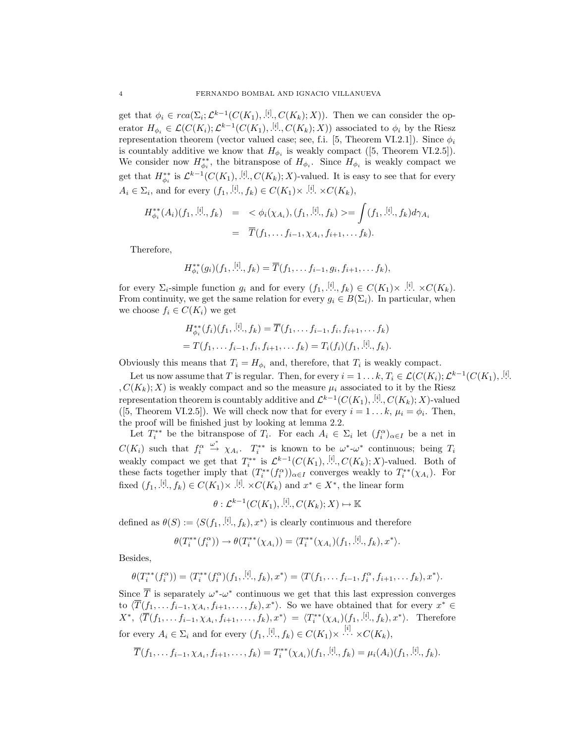get that  $\phi_i \in rca(\Sigma_i; \mathcal{L}^{k-1}(C(K_1), \dot{B}^{i}), C(K_k); X))$ . Then we can consider the operator  $H_{\phi_i} \in \mathcal{L}(C(K_i); \mathcal{L}^{k-1}(C(K_1), \dot{R}^{i}, C(K_k); X))$  associated to  $\phi_i$  by the Riesz representation theorem (vector valued case; see, f.i. [5, Theorem VI.2.1]). Since  $\phi_i$ is countably additive we know that  $H_{\phi_i}$  is weakly compact ([5, Theorem VI.2.5]). We consider now  $H_{\phi_i}^{**}$ , the bitranspose of  $H_{\phi_i}$ . Since  $H_{\phi_i}$  is weakly compact we get that  $H_{\phi_i}^{**}$  is  $\mathcal{L}^{k-1}(C(K_1), \frac{[i]}{N}, C(K_k); X)$ -valued. It is easy to see that for every  $A_i \in \Sigma_i$ , and for every  $(f_1, [\cdot], f_k) \in C(K_1) \times [\cdot], \times C(K_k)$ ,

$$
H_{\phi_i}^{**}(A_i)(f_1, \dot{X}_i, f_k) = \langle \phi_i(\chi_{A_i}), (f_1, \dot{X}_i, f_k) \rangle = \int (f_1, \dot{X}_i, f_k) d\gamma_{A_i}
$$
  
=  $\overline{T}(f_1, \dots, f_{i-1}, \chi_{A_i}, f_{i+1}, \dots, f_k).$ 

Therefore,

$$
H_{\phi_i}^{**}(g_i)(f_1, \stackrel{[i]}{\ldots}, f_k) = \overline{T}(f_1, \ldots, f_{i-1}, g_i, f_{i+1}, \ldots, f_k),
$$

for every  $\Sigma_i$ -simple function  $g_i$  and for every  $(f_1, [\ell], f_k) \in C(K_1) \times [\ell], \times C(K_k)$ . From continuity, we get the same relation for every  $g_i \in B(\Sigma_i)$ . In particular, when we choose  $f_i \in C(K_i)$  we get

$$
H_{\phi_i}^{**}(f_i)(f_1, \stackrel{[i]}{\ldots}, f_k) = \overline{T}(f_1, \ldots, f_{i-1}, f_i, f_{i+1}, \ldots, f_k)
$$
  
=  $T(f_1, \ldots, f_{i-1}, f_i, f_{i+1}, \ldots, f_k) = T_i(f_i)(f_1, \stackrel{[i]}{\ldots}, f_k).$ 

Obviously this means that  $T_i = H_{\phi_i}$  and, therefore, that  $T_i$  is weakly compact.

Let us now assume that T is regular. Then, for every  $i = 1 \dots k$ ,  $T_i \in \mathcal{L}(C(K_i); \mathcal{L}^{k-1}(C(K_1), \ldots$ . ,  $C(K_k); X$ ) is weakly compact and so the measure  $\mu_i$  associated to it by the Riesz representation theorem is countably additive and  $\mathcal{L}^{k-1}(C(K_1), \dots, C(K_k); X)$ -valued ([5, Theorem VI.2.5]). We will check now that for every  $i = 1...k$ ,  $\mu_i = \phi_i$ . Then, the proof will be finished just by looking at lemma 2.2.

Let  $T_i^{**}$  be the bitranspose of  $T_i$ . For each  $A_i \in \Sigma_i$  let  $(f_i^{\alpha})_{\alpha \in I}$  be a net in  $C(K_i)$  such that  $f_i^{\alpha}$  $\stackrel{\omega^*}{\rightarrow} \chi_{A_i}$ .  $T_i^{**}$  is known to be  $\omega^*$ - $\omega^*$  continuous; being  $T_i$ weakly compact we get that  $T_i^{**}$  is  $\mathcal{L}^{k-1}(C(K_1), \dots^{[i]}; C(K_k); X)$ -valued. Both of these facts together imply that  $(T_i^{**}(f_i^{\alpha}))_{\alpha \in I}$  converges weakly to  $T_i^{**}(\chi_{A_i})$ . For fixed  $(f_1, [\cdot], f_k) \in C(K_1) \times [\cdot], \times C(K_k)$  and  $x^* \in X^*$ , the linear form

$$
\theta: \mathcal{L}^{k-1}(C(K_1), \stackrel{[i]}{\ldots}, C(K_k); X) \mapsto \mathbb{K}
$$

defined as  $\theta(S) := \langle S(f_1, \cdot^{[i]}, f_k), x^* \rangle$  is clearly continuous and therefore

$$
\theta(T_i^{**}(f_i^{\alpha})) \to \theta(T_i^{**}(\chi_{A_i})) = \langle T_i^{**}(\chi_{A_i})(f_1, \cdot^{[i]} \xi, f_k), x^* \rangle.
$$

Besides,

$$
\theta(T_i^{**}(f_i^{\alpha})) = \langle T_i^{**}(f_i^{\alpha})(f_1, \cdot^{[i]}, f_k), x^* \rangle = \langle T(f_1, \ldots, f_{i-1}, f_i^{\alpha}, f_{i+1}, \ldots, f_k), x^* \rangle.
$$

Since  $\overline{T}$  is separately  $\omega^*$ - $\omega^*$  continuous we get that this last expression converges to  $\langle \overline{T}(f_1, \ldots, f_{i-1}, \chi_{A_i}, f_{i+1}, \ldots, f_k), x^* \rangle$ . So we have obtained that for every  $x^* \in$  $X^*, \langle \overline{T}(f_1,\ldots,f_{i-1},\chi_{A_i},f_{i+1},\ldots,f_k),x^* \rangle = \langle T_i^{**}(\chi_{A_i})(f_1,\ldots,f_k),x^* \rangle$ . Therefore for every  $A_i \in \Sigma_i$  and for every  $(f_1, [\cdot] \cdot, f_k) \in C(K_1) \times \cdots \times C(K_k)$ ,

$$
\overline{T}(f_1,\ldots f_{i-1},\chi_{A_i},f_{i+1},\ldots,f_k)=T_i^{**}(\chi_{A_i})(f_1,[i],f_k)=\mu_i(A_i)(f_1,[i],f_k).
$$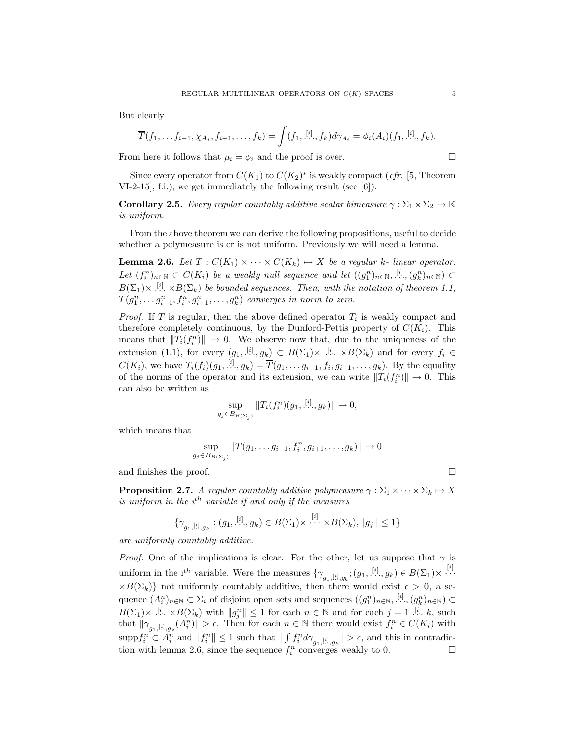But clearly

$$
\overline{T}(f_1,\ldots f_{i-1},\chi_{A_i},f_{i+1},\ldots,f_k)=\int (f_1,[^{i_1}_{\ldots},f_k)d\gamma_{A_i}=\phi_i(A_i)(f_1,[^{i_1}_{\ldots},f_k).
$$

From here it follows that  $\mu_i = \phi_i$  and the proof is over.

Since every operator from  $C(K_1)$  to  $C(K_2)^*$  is weakly compact (*cfr.* [5, Theorem VI-2-15], f.i.), we get immediately the following result (see [6]):

**Corollary 2.5.** Every regular countably additive scalar bimeasure  $\gamma : \Sigma_1 \times \Sigma_2 \to \mathbb{K}$ is uniform.

From the above theorem we can derive the following propositions, useful to decide whether a polymeasure is or is not uniform. Previously we will need a lemma.

**Lemma 2.6.** Let  $T : C(K_1) \times \cdots \times C(K_k) \rightarrow X$  be a regular k- linear operator. Let  $(f_i^n)_{n\in\mathbb{N}}\subset C(K_i)$  be a weakly null sequence and let  $((g_1^n)_{n\in\mathbb{N}}, \ldots, (g_k^n)_{n\in\mathbb{N}})\subset$  $B(\Sigma_1)\times$   $\stackrel{[i]}{\ldots} \times B(\Sigma_k)$  be bounded sequences. Then, with the notation of theorem 1.1,  $\overline{T}(g_1^n, \ldots g_{i-1}^n, f_i^n, g_{i+1}^n, \ldots, g_k^n)$  converges in norm to zero.

*Proof.* If T is regular, then the above defined operator  $T_i$  is weakly compact and therefore completely continuous, by the Dunford-Pettis property of  $C(K_i)$ . This means that  $||T_i(f_i^n)|| \to 0$ . We observe now that, due to the uniqueness of the extension (1.1), for every  $(g_1, [\cdot], g_k) \subset B(\Sigma_1) \times [\cdot], \times B(\Sigma_k)$  and for every  $f_i \in$  $C(K_i)$ , we have  $\overline{T_i(f_i)}(g_1, \frac{[i]}{k}, g_k) = \overline{T}(g_1, \ldots g_{i-1}, f_i, g_{i+1}, \ldots, g_k)$ . By the equality of the norms of the operator and its extension, we can write  $\|\overline{T_i(f_i^n)}\| \to 0$ . This can also be written as

$$
\sup_{g_j \in B_B(\Sigma_j)} \|\overline{T_i(f_i^n)}(g_1, \dot{X}_i^i, g_k)\| \to 0,
$$

which means that

$$
\sup_{g_j \in B_{B(\Sigma_j)}} \|\overline{T}(g_1, \ldots g_{i-1}, f_i^n, g_{i+1}, \ldots, g_k)\| \to 0
$$

and finishes the proof.  $\hfill \square$ 

**Proposition 2.7.** A regular countably additive polymeasure  $\gamma : \Sigma_1 \times \cdots \times \Sigma_k \mapsto X$ is uniform in the  $i^{th}$  variable if and only if the measures

$$
\{\gamma_{g_1,[i],g_k} : (g_1,[i],g_k) \in B(\Sigma_1) \times \cdots \times B(\Sigma_k), \|g_j\| \le 1\}
$$

are uniformly countably additive.

*Proof.* One of the implications is clear. For the other, let us suppose that  $\gamma$  is uniform in the  $i^{th}$  variable. Were the measures  $\{\gamma_{g_1, [i], g_k}; (g_1, [\cdot], g_k) \in B(\Sigma_1) \times \cdots$  $\times B(\Sigma_k)$  not uniformly countably additive, then there would exist  $\epsilon > 0$ , a sequence  $(A_i^n)_{n\in\mathbb{N}}\subset\Sigma_i$  of disjoint open sets and sequences  $((g_1^n)_{n\in\mathbb{N}}, \underline{[i]}, (g_k^n)_{n\in\mathbb{N}})\subset$  $B(\Sigma_1)\times$  .<sup>[i]</sup>.  $\times B(\Sigma_k)$  with  $||g_j^n|| \leq 1$  for each  $n \in \mathbb{N}$  and for each  $j = 1$ .<sup>[i]</sup>. k, such that  $\|\gamma_{g_1,[i],g_k}(A_i^n)\| > \epsilon$ . Then for each  $n \in \mathbb{N}$  there would exist  $f_i^n \in C(K_i)$  with  $\sup \{f_i^n \subset \tilde{A}_i^n \text{ and } ||f_i^n|| \leq 1 \text{ such that } || \int f_i^n d\gamma_{g_1, [i], g_k} || > \epsilon, \text{ and this in contradiction.} \}$ tion with lemma 2.6, since the sequence  $f_i^n$  converges weakly to 0.  $\Box$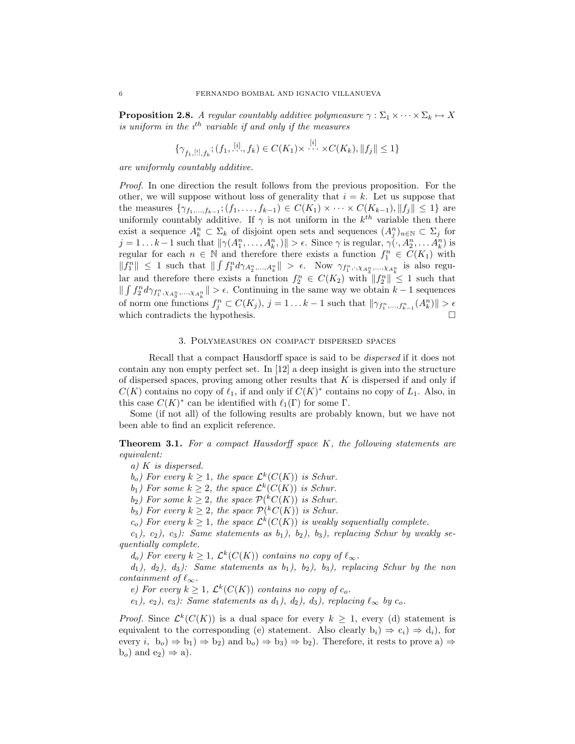**Proposition 2.8.** A regular countably additive polymeasure  $\gamma : \Sigma_1 \times \cdots \times \Sigma_k \mapsto X$ is uniform in the  $i^{\text{th}}$  variable if and only if the measures

$$
\{\gamma_{f_1, [i], f_k}; (f_1, [i], f_k) \in C(K_1) \times \cdots \times C(K_k), \|f_j\| \le 1\}
$$

are uniformly countably additive.

Proof. In one direction the result follows from the previous proposition. For the other, we will suppose without loss of generality that  $i = k$ . Let us suppose that the measures  $\{\gamma_{f_1,...,f_{k-1}}; (f_1,...,f_{k-1}) \in C(K_1) \times \cdots \times C(K_{k-1}), ||f_j|| \leq 1\}$  are uniformly countably additive. If  $\gamma$  is not uniform in the  $k^{th}$  variable then there exist a sequence  $A_k^n \subset \Sigma_k$  of disjoint open sets and sequences  $(A_j^n)_{n\in\mathbb{N}} \subset \Sigma_j$  for  $j = 1...k-1$  such that  $\|\gamma(A_1^n, \ldots, A_k^n, )\| > \epsilon$ . Since  $\gamma$  is regular,  $\gamma(\cdot, A_2^n, \ldots, A_k^n)$  is regular for each  $n \in \mathbb{N}$  and therefore there exists a function  $f_1^n \in C(K_1)$  with  $||f_1^n|| \leq 1$  such that  $|| \int f_1^n d\gamma_{A_2^n,\dots,A_k^n} || > \epsilon$ . Now  $\gamma_{f_1^n,\cdot,\chi_{A_3^n},\dots,\chi_{A_k^n}}$  is also regular and therefore there exists a function  $f_2^n \in C(K_2)$  with  $||f_2^n|| \leq 1$  such that  $\| \int f_2^n d\gamma_{f_1^n, \chi_{A_3^n}, \dots, \chi_{A_k^n}} \| > \epsilon$ . Continuing in the same way we obtain  $k-1$  sequences of norm one functions  $f_j^n \subset C(K_j)$ ,  $j = 1...k-1$  such that  $\|\gamma_{f_1^n,\dots,f_{k-1}^n}(A_k^n)\| > \epsilon$ which contradicts the hypothesis.  $\Box$ 

## 3. Polymeasures on compact dispersed spaces

Recall that a compact Hausdorff space is said to be dispersed if it does not contain any non empty perfect set. In [12] a deep insight is given into the structure of dispersed spaces, proving among other results that  $K$  is dispersed if and only if  $C(K)$  contains no copy of  $\ell_1$ , if and only if  $C(K)^*$  contains no copy of  $L_1$ . Also, in this case  $C(K)^*$  can be identified with  $\ell_1(\Gamma)$  for some  $\Gamma$ .

Some (if not all) of the following results are probably known, but we have not been able to find an explicit reference.

Theorem 3.1. For a compact Hausdorff space K, the following statements are equivalent:

a) K is dispersed.

 $(b_o)$  For every  $k \geq 1$ , the space  $\mathcal{L}^k(C(K))$  is Schur.

 $b_1$ ) For some  $k \geq 2$ , the space  $\mathcal{L}^k(C(K))$  is Schur.

 $(b_2)$  For some  $k \geq 2$ , the space  $\mathcal{P}(^kC(K))$  is Schur.

 $(b_3)$  For every  $k \geq 2$ , the space  $\mathcal{P}(^kC(K))$  is Schur.

 $(c_o)$  For every  $k \geq 1$ , the space  $\mathcal{L}^k(C(K))$  is weakly sequentially complete.

 $(c_1)$ ,  $(c_2)$ ,  $(c_3)$ : Same statements as  $b_1$ ),  $b_2$ ),  $b_3$ ), replacing Schur by weakly sequentially complete.

 $d_o$ ) For every  $k \geq 1$ ,  $\mathcal{L}^k(C(K))$  contains no copy of  $\ell_{\infty}$ .

 $d_1$ ,  $d_2$ ,  $d_3$ ): Same statements as  $b_1$ ,  $b_2$ ,  $b_3$ , replacing Schur by the non containment of  $\ell_{\infty}$ .

e) For every  $k \geq 1$ ,  $\mathcal{L}^k(C(K))$  contains no copy of  $c_o$ .

e<sub>1</sub>), e<sub>2</sub>), e<sub>3</sub>): Same statements as  $d_1$ ,  $d_2$ ,  $d_3$ , replacing  $\ell_{\infty}$  by  $c_o$ .

*Proof.* Since  $\mathcal{L}^k(C(K))$  is a dual space for every  $k \geq 1$ , every (d) statement is equivalent to the corresponding (e) statement. Also clearly  $b_i$ )  $\Rightarrow$   $c_i$ )  $\Rightarrow$   $d_i$ ), for every  $i, b_o \Rightarrow b_1 \Rightarrow b_2$  and  $b_o \Rightarrow b_3 \Rightarrow b_2$ . Therefore, it rests to prove a)  $\Rightarrow$  $b<sub>o</sub>$ ) and  $e<sub>2</sub>$ )  $\Rightarrow$  a).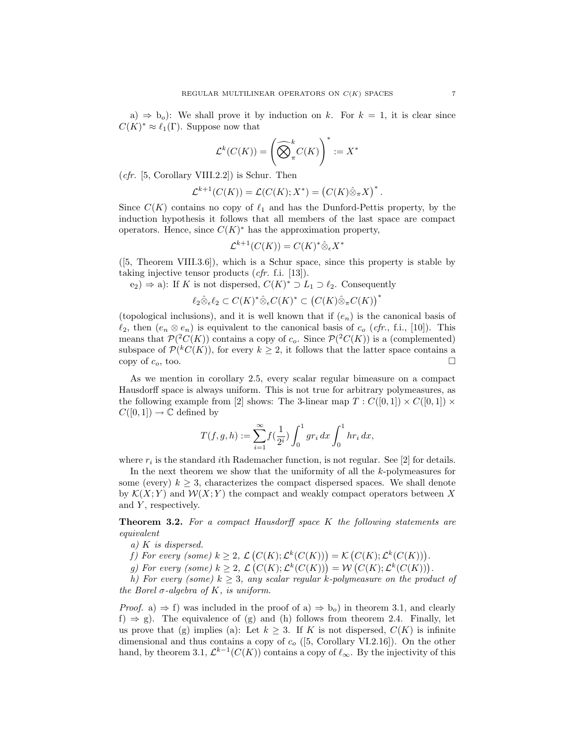a)  $\Rightarrow$  b<sub>o</sub>): We shall prove it by induction on k. For  $k = 1$ , it is clear since  $C(K)^* \approx \ell_1(\Gamma)$ . Suppose now that

$$
\mathcal{L}^k(C(K)) = \left(\widehat{\bigotimes}^k_{\pi} C(K)\right)^* := X^*
$$

 $(cfr. [5, Corollary VIII.2.2])$  is Schur. Then

$$
\mathcal{L}^{k+1}(C(K)) = \mathcal{L}(C(K); X^*) = (C(K)\hat{\otimes}_{\pi}X)^*.
$$

Since  $C(K)$  contains no copy of  $\ell_1$  and has the Dunford-Pettis property, by the induction hypothesis it follows that all members of the last space are compact operators. Hence, since  $C(K)^*$  has the approximation property,

$$
\mathcal{L}^{k+1}(C(K)) = C(K)^{*} \hat{\otimes}_{\epsilon} X^{*}
$$

([5, Theorem VIII.3.6]), which is a Schur space, since this property is stable by taking injective tensor products (cfr. f.i. [13]).

 $(e_2) \Rightarrow$  a): If K is not dispersed,  $C(K)^* \supset L_1 \supset \ell_2$ . Consequently ¡

$$
\ell_2 \hat{\otimes}_{\epsilon} \ell_2 \subset C(K)^* \hat{\otimes}_{\epsilon} C(K)^* \subset (C(K) \hat{\otimes}_{\pi} C(K))^*
$$

(topological inclusions), and it is well known that if  $(e_n)$  is the canonical basis of  $\ell_2$ , then  $(e_n \otimes e_n)$  is equivalent to the canonical basis of  $c_o$  (cfr., f.i., [10]). This means that  $\mathcal{P}(^2C(K))$  contains a copy of  $c_o$ . Since  $\mathcal{P}(^2C(K))$  is a (complemented) subspace of  $\mathcal{P}(^kC(K))$ , for every  $k \geq 2$ , it follows that the latter space contains a copy of  $c_o$ , too.

As we mention in corollary 2.5, every scalar regular bimeasure on a compact Hausdorff space is always uniform. This is not true for arbitrary polymeasures, as the following example from [2] shows: The 3-linear map  $T: C([0,1]) \times C([0,1]) \times$  $C([0, 1]) \to \mathbb{C}$  defined by

$$
T(f,g,h) := \sum_{i=1}^{\infty} f(\frac{1}{2^i}) \int_0^1 gr_i \, dx \int_0^1 hr_i \, dx,
$$

where  $r_i$  is the standard *i*th Rademacher function, is not regular. See [2] for details.

In the next theorem we show that the uniformity of all the  $k$ -polymeasures for some (every)  $k \geq 3$ , characterizes the compact dispersed spaces. We shall denote by  $\mathcal{K}(X; Y)$  and  $\mathcal{W}(X; Y)$  the compact and weakly compact operators between X and  $Y$ , respectively.

Theorem 3.2. For a compact Hausdorff space K the following statements are equivalent

- a) K is dispersed.
- f) For every (some)  $k \geq 2, \mathcal{L}$ ¡  $C(K); \mathcal{L}^k(C(K))) = \mathcal{K}$ ¡  $(C(K); \mathcal{L}^k(C(K))) = \mathcal{K} (C(K); \mathcal{L}^k(C(K))).$
- g) For every (some)  $k \geq 2$ ,  $\mathcal{L}(C(K))$ ,  $\mathcal{L}(C(K))) = \mathcal{N}(C(K))$ ,  $\mathcal{L}^k(C(K)))$ .<br>g) For every (some)  $k \geq 2$ ,  $\mathcal{L}(C(K))$ ;  $\mathcal{L}^k(C(K))) = \mathcal{W}(C(K))$ ;  $\mathcal{L}^k(C(K))$ ).

h) For every (some)  $k \geq 3$ , any scalar regular k-polymeasure on the product of the Borel  $\sigma$ -algebra of K, is uniform.

*Proof.* a)  $\Rightarrow$  f) was included in the proof of a)  $\Rightarrow$  b<sub>o</sub>) in theorem 3.1, and clearly  $f$   $\Rightarrow$  g). The equivalence of (g) and (h) follows from theorem 2.4. Finally, let us prove that (g) implies (a): Let  $k \geq 3$ . If K is not dispersed,  $C(K)$  is infinite dimensional and thus contains a copy of  $c<sub>o</sub>$  ([5, Corollary VI.2.16]). On the other hand, by theorem 3.1,  $\mathcal{L}^{k-1}(C(K))$  contains a copy of  $\ell_{\infty}$ . By the injectivity of this